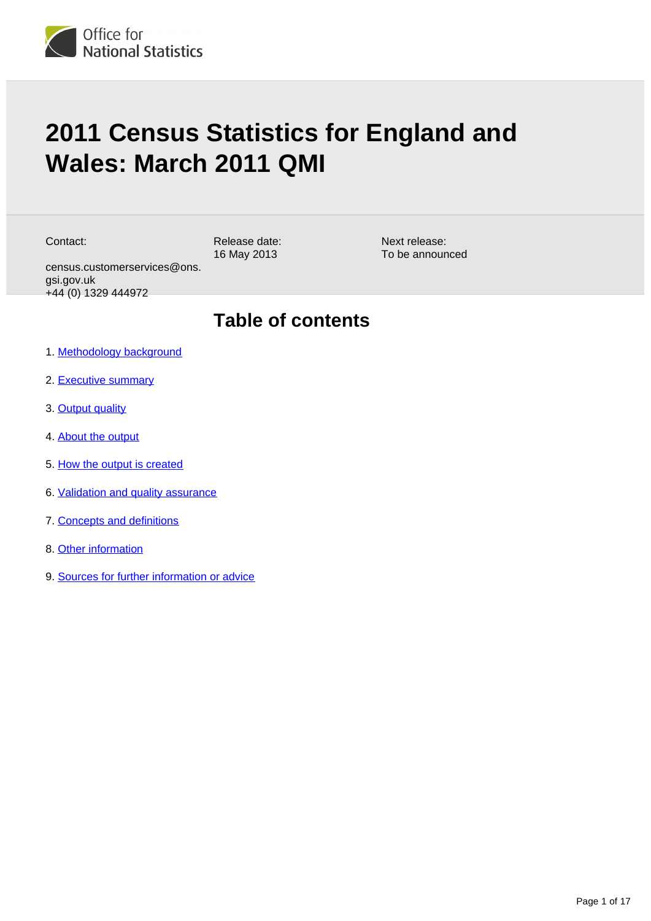

# **2011 Census Statistics for England and Wales: March 2011 QMI**

Contact:

Release date: 16 May 2013

Next release: To be announced

census.customerservices@ons. gsi.gov.uk +44 (0) 1329 444972

# **Table of contents**

- 1. [Methodology background](#page-1-0)
- 2. [Executive summary](#page-1-1)
- 3. [Output quality](#page-2-0)
- 4. [About the output](#page-2-1)
- 5. [How the output is created](#page-5-0)
- 6. [Validation and quality assurance](#page-7-0)
- 7. [Concepts and definitions](#page-14-0)
- 8. [Other information](#page-14-1)
- 9. [Sources for further information or advice](#page-15-0)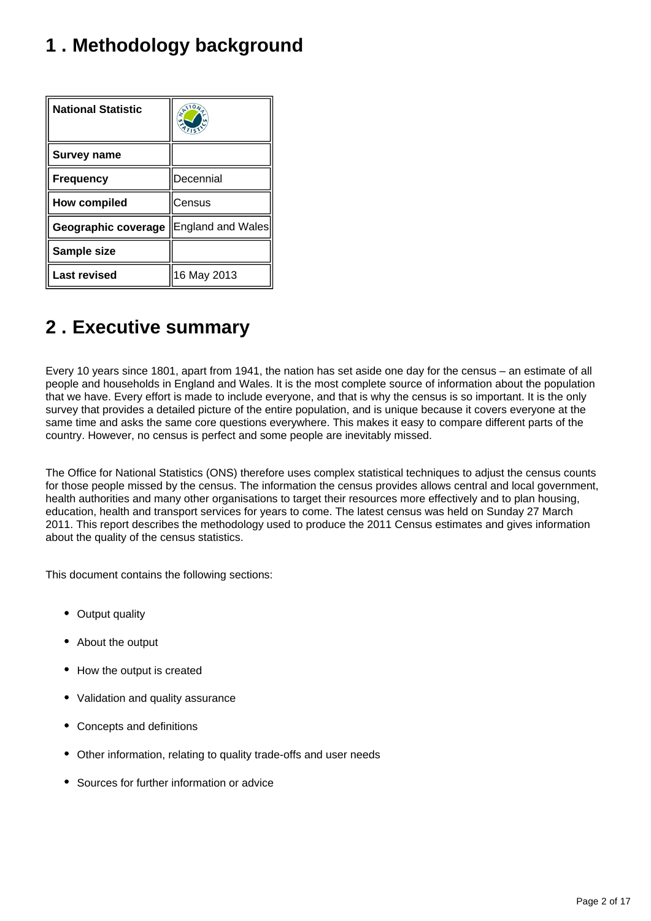# <span id="page-1-0"></span>**1 . Methodology background**

| <b>National Statistic</b> | A10               |
|---------------------------|-------------------|
| <b>Survey name</b>        |                   |
| <b>Frequency</b>          | Decennial         |
| <b>How compiled</b>       | Census            |
| Geographic coverage       | England and Wales |
| Sample size               |                   |
| <b>Last revised</b>       | 16 May 2013       |

# <span id="page-1-1"></span>**2 . Executive summary**

Every 10 years since 1801, apart from 1941, the nation has set aside one day for the census – an estimate of all people and households in England and Wales. It is the most complete source of information about the population that we have. Every effort is made to include everyone, and that is why the census is so important. It is the only survey that provides a detailed picture of the entire population, and is unique because it covers everyone at the same time and asks the same core questions everywhere. This makes it easy to compare different parts of the country. However, no census is perfect and some people are inevitably missed.

The Office for National Statistics (ONS) therefore uses complex statistical techniques to adjust the census counts for those people missed by the census. The information the census provides allows central and local government, health authorities and many other organisations to target their resources more effectively and to plan housing, education, health and transport services for years to come. The latest census was held on Sunday 27 March 2011. This report describes the methodology used to produce the 2011 Census estimates and gives information about the quality of the census statistics.

This document contains the following sections:

- Output quality
- About the output
- How the output is created
- Validation and quality assurance
- Concepts and definitions
- Other information, relating to quality trade-offs and user needs
- Sources for further information or advice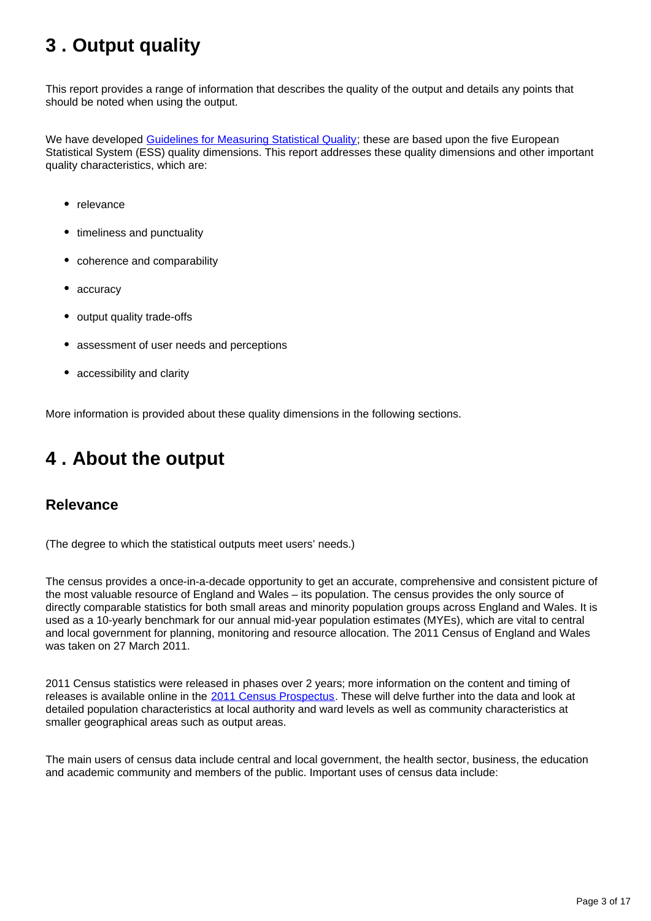# <span id="page-2-0"></span>**3 . Output quality**

This report provides a range of information that describes the quality of the output and details any points that should be noted when using the output.

We have developed [Guidelines for Measuring Statistical Quality;](http://webarchive.nationalarchives.gov.uk/20160105160709/http:/www.ons.gov.uk/ons/guide-method/method-quality/quality/guidelines-for-measuring-statistical-quality/index.html) these are based upon the five European Statistical System (ESS) quality dimensions. This report addresses these quality dimensions and other important quality characteristics, which are:

- relevance
- timeliness and punctuality
- coherence and comparability
- accuracy
- output quality trade-offs
- assessment of user needs and perceptions
- accessibility and clarity

More information is provided about these quality dimensions in the following sections.

# <span id="page-2-1"></span>**4 . About the output**

#### **Relevance**

(The degree to which the statistical outputs meet users' needs.)

The census provides a once-in-a-decade opportunity to get an accurate, comprehensive and consistent picture of the most valuable resource of England and Wales – its population. The census provides the only source of directly comparable statistics for both small areas and minority population groups across England and Wales. It is used as a 10-yearly benchmark for our annual mid-year population estimates (MYEs), which are vital to central and local government for planning, monitoring and resource allocation. The 2011 Census of England and Wales was taken on 27 March 2011.

2011 Census statistics were released in phases over 2 years; more information on the content and timing of releases is available online in the [2011 Census Prospectus](http://webarchive.nationalarchives.gov.uk/20160105160709/http://ons.gov.uk/ons/guide-method/census/2011/census-data/2011-census-data-catalogue/index.html). These will delve further into the data and look at detailed population characteristics at local authority and ward levels as well as community characteristics at smaller geographical areas such as output areas.

The main users of census data include central and local government, the health sector, business, the education and academic community and members of the public. Important uses of census data include: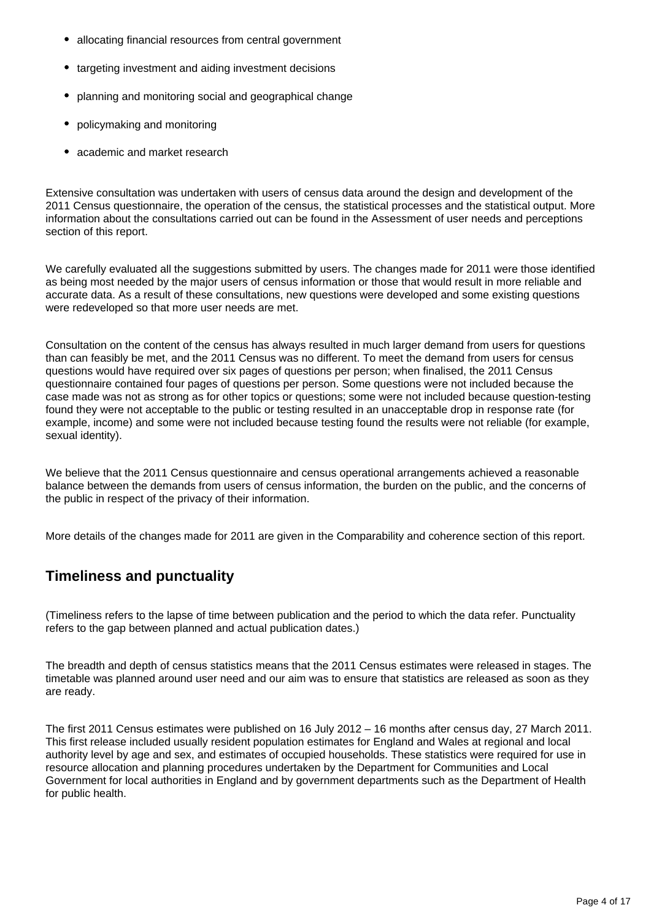- allocating financial resources from central government
- targeting investment and aiding investment decisions
- planning and monitoring social and geographical change
- policymaking and monitoring
- academic and market research

Extensive consultation was undertaken with users of census data around the design and development of the 2011 Census questionnaire, the operation of the census, the statistical processes and the statistical output. More information about the consultations carried out can be found in the Assessment of user needs and perceptions section of this report.

We carefully evaluated all the suggestions submitted by users. The changes made for 2011 were those identified as being most needed by the major users of census information or those that would result in more reliable and accurate data. As a result of these consultations, new questions were developed and some existing questions were redeveloped so that more user needs are met.

Consultation on the content of the census has always resulted in much larger demand from users for questions than can feasibly be met, and the 2011 Census was no different. To meet the demand from users for census questions would have required over six pages of questions per person; when finalised, the 2011 Census questionnaire contained four pages of questions per person. Some questions were not included because the case made was not as strong as for other topics or questions; some were not included because question-testing found they were not acceptable to the public or testing resulted in an unacceptable drop in response rate (for example, income) and some were not included because testing found the results were not reliable (for example, sexual identity).

We believe that the 2011 Census questionnaire and census operational arrangements achieved a reasonable balance between the demands from users of census information, the burden on the public, and the concerns of the public in respect of the privacy of their information.

More details of the changes made for 2011 are given in the Comparability and coherence section of this report.

### **Timeliness and punctuality**

(Timeliness refers to the lapse of time between publication and the period to which the data refer. Punctuality refers to the gap between planned and actual publication dates.)

The breadth and depth of census statistics means that the 2011 Census estimates were released in stages. The timetable was planned around user need and our aim was to ensure that statistics are released as soon as they are ready.

The first 2011 Census estimates were published on 16 July 2012 – 16 months after census day, 27 March 2011. This first release included usually resident population estimates for England and Wales at regional and local authority level by age and sex, and estimates of occupied households. These statistics were required for use in resource allocation and planning procedures undertaken by the Department for Communities and Local Government for local authorities in England and by government departments such as the Department of Health for public health.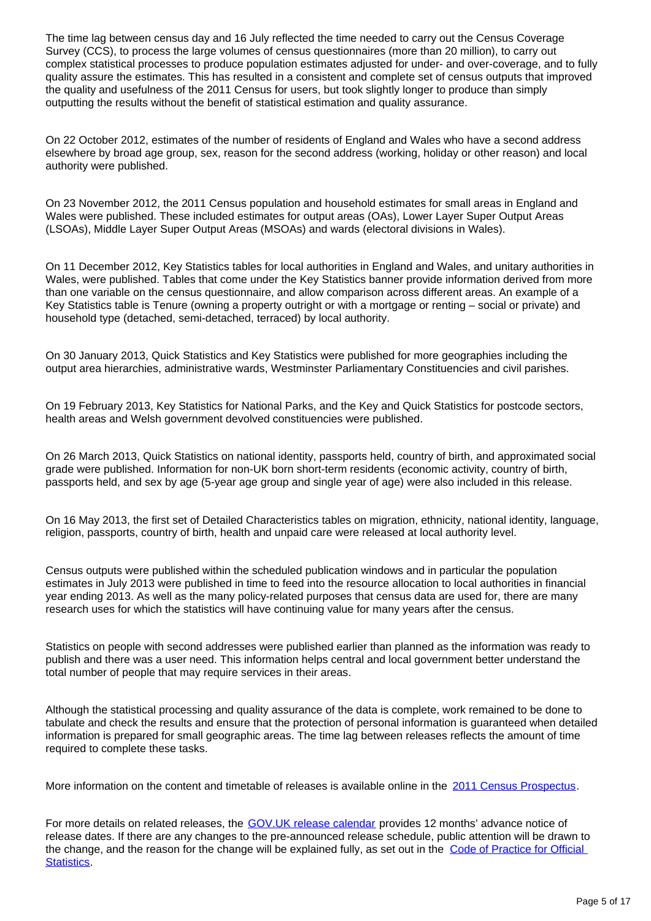The time lag between census day and 16 July reflected the time needed to carry out the Census Coverage Survey (CCS), to process the large volumes of census questionnaires (more than 20 million), to carry out complex statistical processes to produce population estimates adjusted for under- and over-coverage, and to fully quality assure the estimates. This has resulted in a consistent and complete set of census outputs that improved the quality and usefulness of the 2011 Census for users, but took slightly longer to produce than simply outputting the results without the benefit of statistical estimation and quality assurance.

On 22 October 2012, estimates of the number of residents of England and Wales who have a second address elsewhere by broad age group, sex, reason for the second address (working, holiday or other reason) and local authority were published.

On 23 November 2012, the 2011 Census population and household estimates for small areas in England and Wales were published. These included estimates for output areas (OAs), Lower Layer Super Output Areas (LSOAs), Middle Layer Super Output Areas (MSOAs) and wards (electoral divisions in Wales).

On 11 December 2012, Key Statistics tables for local authorities in England and Wales, and unitary authorities in Wales, were published. Tables that come under the Key Statistics banner provide information derived from more than one variable on the census questionnaire, and allow comparison across different areas. An example of a Key Statistics table is Tenure (owning a property outright or with a mortgage or renting – social or private) and household type (detached, semi-detached, terraced) by local authority.

On 30 January 2013, Quick Statistics and Key Statistics were published for more geographies including the output area hierarchies, administrative wards, Westminster Parliamentary Constituencies and civil parishes.

On 19 February 2013, Key Statistics for National Parks, and the Key and Quick Statistics for postcode sectors, health areas and Welsh government devolved constituencies were published.

On 26 March 2013, Quick Statistics on national identity, passports held, country of birth, and approximated social grade were published. Information for non-UK born short-term residents (economic activity, country of birth, passports held, and sex by age (5-year age group and single year of age) were also included in this release.

On 16 May 2013, the first set of Detailed Characteristics tables on migration, ethnicity, national identity, language, religion, passports, country of birth, health and unpaid care were released at local authority level.

Census outputs were published within the scheduled publication windows and in particular the population estimates in July 2013 were published in time to feed into the resource allocation to local authorities in financial year ending 2013. As well as the many policy-related purposes that census data are used for, there are many research uses for which the statistics will have continuing value for many years after the census.

Statistics on people with second addresses were published earlier than planned as the information was ready to publish and there was a user need. This information helps central and local government better understand the total number of people that may require services in their areas.

Although the statistical processing and quality assurance of the data is complete, work remained to be done to tabulate and check the results and ensure that the protection of personal information is guaranteed when detailed information is prepared for small geographic areas. The time lag between releases reflects the amount of time required to complete these tasks.

More information on the content and timetable of releases is available online in the [2011 Census Prospectus](http://webarchive.nationalarchives.gov.uk/20160105160709/http://ons.gov.uk/ons/guide-method/census/2011/census-data/2011-census-data-catalogue/index.html).

For more details on related releases, the **[GOV.UK release calendar](https://www.gov.uk/government/statistics)** provides 12 months' advance notice of release dates. If there are any changes to the pre-announced release schedule, public attention will be drawn to the change, and the reason for the change will be explained fully, as set out in the [Code of Practice for Official](http://www.statisticsauthority.gov.uk/assessment/code-of-practice/index.html)  [Statistics](http://www.statisticsauthority.gov.uk/assessment/code-of-practice/index.html).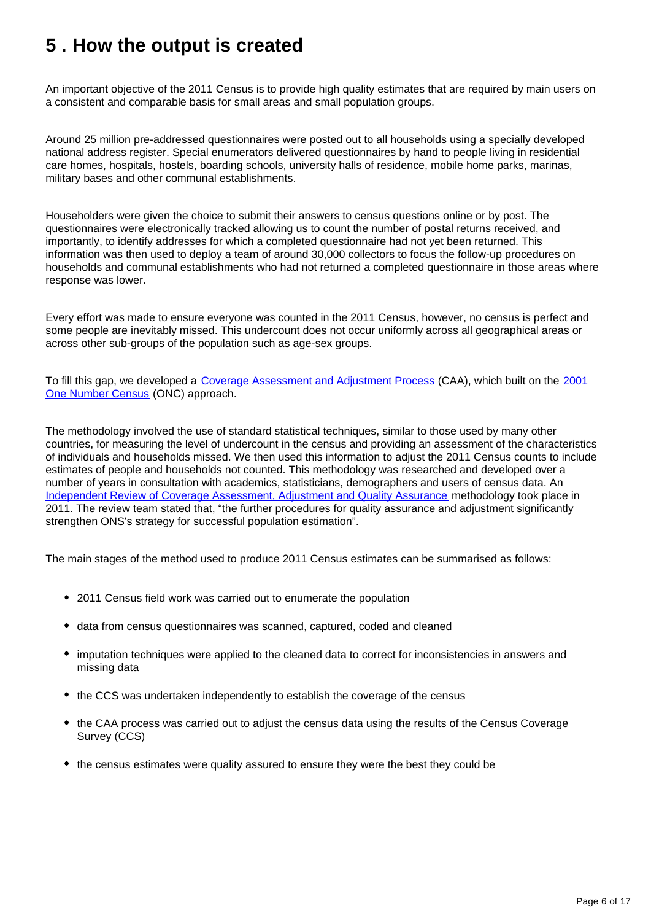# <span id="page-5-0"></span>**5 . How the output is created**

An important objective of the 2011 Census is to provide high quality estimates that are required by main users on a consistent and comparable basis for small areas and small population groups.

Around 25 million pre-addressed questionnaires were posted out to all households using a specially developed national address register. Special enumerators delivered questionnaires by hand to people living in residential care homes, hospitals, hostels, boarding schools, university halls of residence, mobile home parks, marinas, military bases and other communal establishments.

Householders were given the choice to submit their answers to census questions online or by post. The questionnaires were electronically tracked allowing us to count the number of postal returns received, and importantly, to identify addresses for which a completed questionnaire had not yet been returned. This information was then used to deploy a team of around 30,000 collectors to focus the follow-up procedures on households and communal establishments who had not returned a completed questionnaire in those areas where response was lower.

Every effort was made to ensure everyone was counted in the 2011 Census, however, no census is perfect and some people are inevitably missed. This undercount does not occur uniformly across all geographical areas or across other sub-groups of the population such as age-sex groups.

To fill this gap, we developed a [Coverage Assessment and Adjustment Process](http://webarchive.nationalarchives.gov.uk/20160105160709/http://ons.gov.uk/ons/guide-method/census/2011/census-data/2011-census-user-guide/quality-and-methods/coverage-assessment-and-adjustment-methods/index.html) (CAA), which built on the [2001](https://www.ons.gov.uk/census/2001censusandearlier/designandconduct/theonenumbercensus)  [One Number Census](https://www.ons.gov.uk/census/2001censusandearlier/designandconduct/theonenumbercensus) (ONC) approach.

The methodology involved the use of standard statistical techniques, similar to those used by many other countries, for measuring the level of undercount in the census and providing an assessment of the characteristics of individuals and households missed. We then used this information to adjust the 2011 Census counts to include estimates of people and households not counted. This methodology was researched and developed over a number of years in consultation with academics, statisticians, demographers and users of census data. An [Independent Review of Coverage Assessment, Adjustment and Quality Assurance](http://webarchive.nationalarchives.gov.uk/20160105160709/http:/ons.gov.uk/ons/guide-method/census/2011/how-our-census-works/how-we-planned-the-2011-census/independent-assessments/independent-review-of-coverage-assessment--adjustment-and-quality-assurance/) methodology took place in 2011. The review team stated that, "the further procedures for quality assurance and adjustment significantly strengthen ONS's strategy for successful population estimation".

The main stages of the method used to produce 2011 Census estimates can be summarised as follows:

- 2011 Census field work was carried out to enumerate the population
- data from census questionnaires was scanned, captured, coded and cleaned
- imputation techniques were applied to the cleaned data to correct for inconsistencies in answers and missing data
- the CCS was undertaken independently to establish the coverage of the census
- the CAA process was carried out to adjust the census data using the results of the Census Coverage Survey (CCS)
- the census estimates were quality assured to ensure they were the best they could be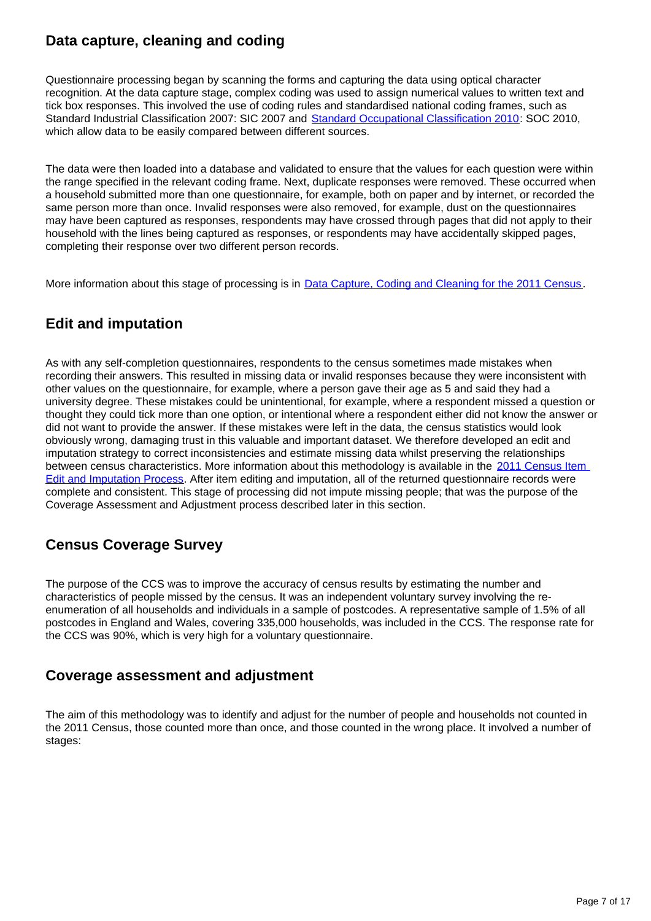### **Data capture, cleaning and coding**

Questionnaire processing began by scanning the forms and capturing the data using optical character recognition. At the data capture stage, complex coding was used to assign numerical values to written text and tick box responses. This involved the use of coding rules and standardised national coding frames, such as Standard Industrial Classification 2007: SIC 2007 and [Standard Occupational Classification 2010](https://www.ons.gov.uk/methodology/classificationsandstandards/standardoccupationalclassificationsoc/soc2010): SOC 2010, which allow data to be easily compared between different sources.

The data were then loaded into a database and validated to ensure that the values for each question were within the range specified in the relevant coding frame. Next, duplicate responses were removed. These occurred when a household submitted more than one questionnaire, for example, both on paper and by internet, or recorded the same person more than once. Invalid responses were also removed, for example, dust on the questionnaires may have been captured as responses, respondents may have crossed through pages that did not apply to their household with the lines being captured as responses, or respondents may have accidentally skipped pages, completing their response over two different person records.

More information about this stage of processing is in [Data Capture, Coding and Cleaning for the 2011 Census](http://webarchive.nationalarchives.gov.uk/20160105160709/http:/www.ons.gov.uk/ons/guide-method/census/2011/census-data/2011-census-user-guide/quality-and-methods/quality/quality-measures/data-capture--coding-and-cleaning/index.html).

## **Edit and imputation**

As with any self-completion questionnaires, respondents to the census sometimes made mistakes when recording their answers. This resulted in missing data or invalid responses because they were inconsistent with other values on the questionnaire, for example, where a person gave their age as 5 and said they had a university degree. These mistakes could be unintentional, for example, where a respondent missed a question or thought they could tick more than one option, or intentional where a respondent either did not know the answer or did not want to provide the answer. If these mistakes were left in the data, the census statistics would look obviously wrong, damaging trust in this valuable and important dataset. We therefore developed an edit and imputation strategy to correct inconsistencies and estimate missing data whilst preserving the relationships between census characteristics. More information about this methodology is available in the 2011 Census Item [Edit and Imputation Process](http://webarchive.nationalarchives.gov.uk/20160105160709/http:/www.ons.gov.uk/ons/guide-method/census/2011/census-data/2011-census-user-guide/quality-and-methods/methods/index.html). After item editing and imputation, all of the returned questionnaire records were complete and consistent. This stage of processing did not impute missing people; that was the purpose of the Coverage Assessment and Adjustment process described later in this section.

### **Census Coverage Survey**

The purpose of the CCS was to improve the accuracy of census results by estimating the number and characteristics of people missed by the census. It was an independent voluntary survey involving the reenumeration of all households and individuals in a sample of postcodes. A representative sample of 1.5% of all postcodes in England and Wales, covering 335,000 households, was included in the CCS. The response rate for the CCS was 90%, which is very high for a voluntary questionnaire.

#### **Coverage assessment and adjustment**

The aim of this methodology was to identify and adjust for the number of people and households not counted in the 2011 Census, those counted more than once, and those counted in the wrong place. It involved a number of stages: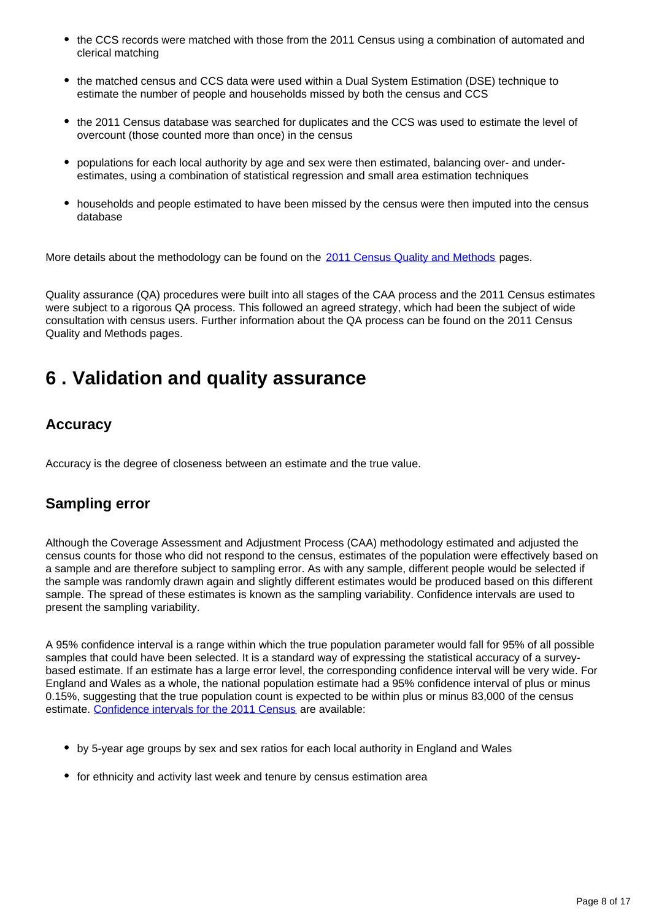- the CCS records were matched with those from the 2011 Census using a combination of automated and clerical matching
- the matched census and CCS data were used within a Dual System Estimation (DSE) technique to estimate the number of people and households missed by both the census and CCS
- the 2011 Census database was searched for duplicates and the CCS was used to estimate the level of overcount (those counted more than once) in the census
- populations for each local authority by age and sex were then estimated, balancing over- and underestimates, using a combination of statistical regression and small area estimation techniques
- households and people estimated to have been missed by the census were then imputed into the census database

More details about the methodology can be found on the [2011 Census Quality and Methods](http://webarchive.nationalarchives.gov.uk/20160105160709/http:/www.ons.gov.uk/ons/guide-method/census/2011/census-data/2011-census-user-guide/quality-and-methods/index.html) pages.

Quality assurance (QA) procedures were built into all stages of the CAA process and the 2011 Census estimates were subject to a rigorous QA process. This followed an agreed strategy, which had been the subject of wide consultation with census users. Further information about the QA process can be found on the 2011 Census Quality and Methods pages.

# <span id="page-7-0"></span>**6 . Validation and quality assurance**

#### **Accuracy**

Accuracy is the degree of closeness between an estimate and the true value.

### **Sampling error**

Although the Coverage Assessment and Adjustment Process (CAA) methodology estimated and adjusted the census counts for those who did not respond to the census, estimates of the population were effectively based on a sample and are therefore subject to sampling error. As with any sample, different people would be selected if the sample was randomly drawn again and slightly different estimates would be produced based on this different sample. The spread of these estimates is known as the sampling variability. Confidence intervals are used to present the sampling variability.

A 95% confidence interval is a range within which the true population parameter would fall for 95% of all possible samples that could have been selected. It is a standard way of expressing the statistical accuracy of a surveybased estimate. If an estimate has a large error level, the corresponding confidence interval will be very wide. For England and Wales as a whole, the national population estimate had a 95% confidence interval of plus or minus 0.15%, suggesting that the true population count is expected to be within plus or minus 83,000 of the census estimate. [Confidence intervals for the 2011 Census](http://webarchive.nationalarchives.gov.uk/20160105160709/http:/www.ons.gov.uk/ons/guide-method/census/2011/census-data/2011-census-user-guide/quality-and-methods/quality/quality-measures/confidence-intervals/index.html) are available:

- by 5-year age groups by sex and sex ratios for each local authority in England and Wales
- for ethnicity and activity last week and tenure by census estimation area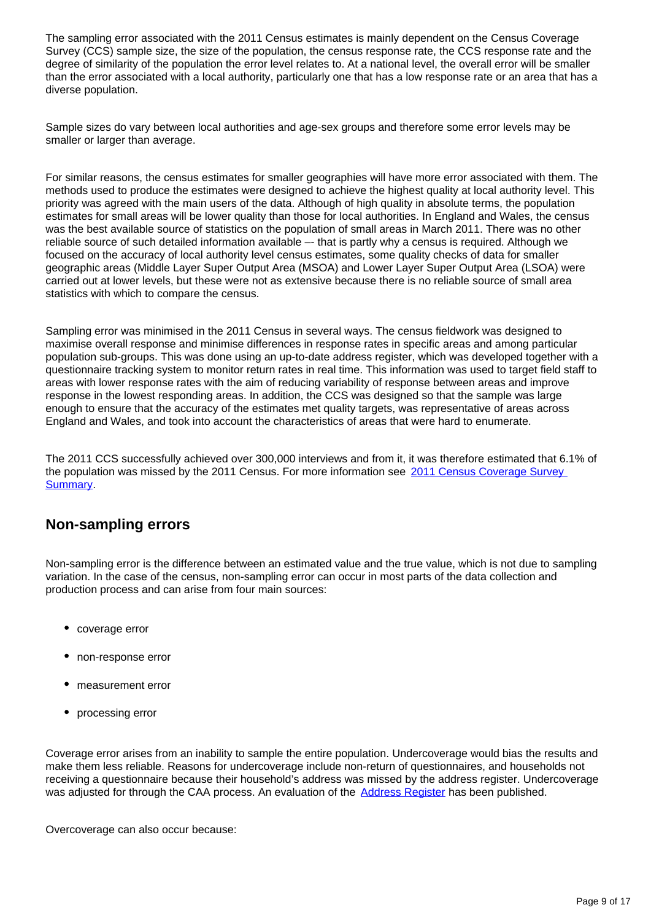The sampling error associated with the 2011 Census estimates is mainly dependent on the Census Coverage Survey (CCS) sample size, the size of the population, the census response rate, the CCS response rate and the degree of similarity of the population the error level relates to. At a national level, the overall error will be smaller than the error associated with a local authority, particularly one that has a low response rate or an area that has a diverse population.

Sample sizes do vary between local authorities and age-sex groups and therefore some error levels may be smaller or larger than average.

For similar reasons, the census estimates for smaller geographies will have more error associated with them. The methods used to produce the estimates were designed to achieve the highest quality at local authority level. This priority was agreed with the main users of the data. Although of high quality in absolute terms, the population estimates for small areas will be lower quality than those for local authorities. In England and Wales, the census was the best available source of statistics on the population of small areas in March 2011. There was no other reliable source of such detailed information available –- that is partly why a census is required. Although we focused on the accuracy of local authority level census estimates, some quality checks of data for smaller geographic areas (Middle Layer Super Output Area (MSOA) and Lower Layer Super Output Area (LSOA) were carried out at lower levels, but these were not as extensive because there is no reliable source of small area statistics with which to compare the census.

Sampling error was minimised in the 2011 Census in several ways. The census fieldwork was designed to maximise overall response and minimise differences in response rates in specific areas and among particular population sub-groups. This was done using an up-to-date address register, which was developed together with a questionnaire tracking system to monitor return rates in real time. This information was used to target field staff to areas with lower response rates with the aim of reducing variability of response between areas and improve response in the lowest responding areas. In addition, the CCS was designed so that the sample was large enough to ensure that the accuracy of the estimates met quality targets, was representative of areas across England and Wales, and took into account the characteristics of areas that were hard to enumerate.

The 2011 CCS successfully achieved over 300,000 interviews and from it, it was therefore estimated that 6.1% of the population was missed by the 2011 Census. For more information see 2011 Census Coverage Survey [Summary.](http://www.ons.gov.uk/ons/guide-method/census/2011/census-data/2011-census-user-guide/quality-and-methods/methods/coverage-assessment-and-adjustment-methods/census-coverage-survey--ccs-/index.html)

#### **Non-sampling errors**

Non-sampling error is the difference between an estimated value and the true value, which is not due to sampling variation. In the case of the census, non-sampling error can occur in most parts of the data collection and production process and can arise from four main sources:

- coverage error
- non-response error
- measurement error
- processing error

Coverage error arises from an inability to sample the entire population. Undercoverage would bias the results and make them less reliable. Reasons for undercoverage include non-return of questionnaires, and households not receiving a questionnaire because their household's address was missed by the address register. Undercoverage was adjusted for through the CAA process. An evaluation of the **Address Register** has been published.

Overcoverage can also occur because: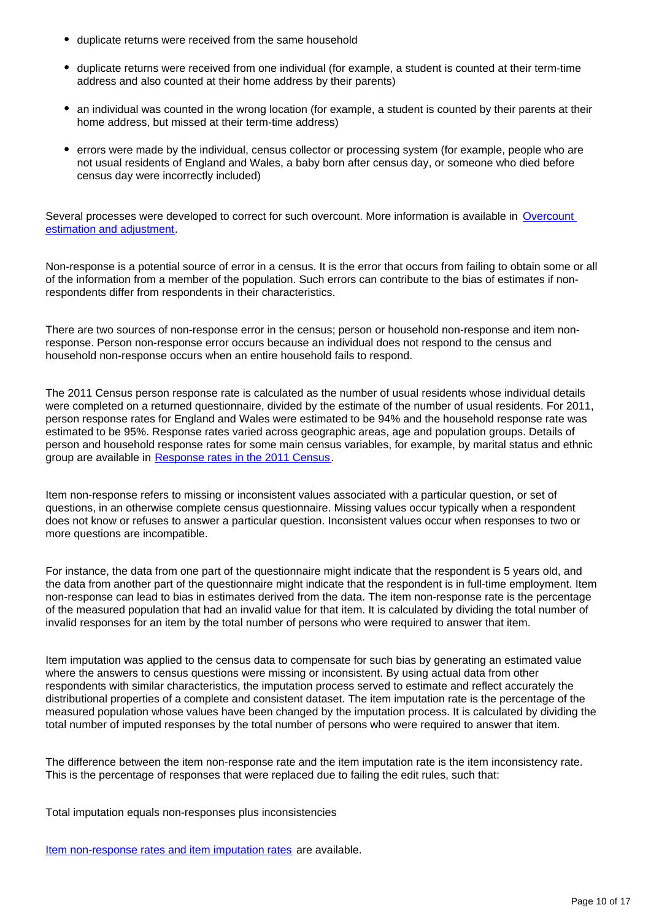- duplicate returns were received from the same household
- duplicate returns were received from one individual (for example, a student is counted at their term-time address and also counted at their home address by their parents)
- an individual was counted in the wrong location (for example, a student is counted by their parents at their home address, but missed at their term-time address)
- errors were made by the individual, census collector or processing system (for example, people who are not usual residents of England and Wales, a baby born after census day, or someone who died before census day were incorrectly included)

Several processes were developed to correct for such overcount. More information is available in Overcount [estimation and adjustment.](http://www.ons.gov.uk/ons/guide-method/census/2011/census-data/2011-census-user-guide/quality-and-methods/methods/coverage-assessment-and-adjustment-methods/index.html)

Non-response is a potential source of error in a census. It is the error that occurs from failing to obtain some or all of the information from a member of the population. Such errors can contribute to the bias of estimates if nonrespondents differ from respondents in their characteristics.

There are two sources of non-response error in the census; person or household non-response and item nonresponse. Person non-response error occurs because an individual does not respond to the census and household non-response occurs when an entire household fails to respond.

The 2011 Census person response rate is calculated as the number of usual residents whose individual details were completed on a returned questionnaire, divided by the estimate of the number of usual residents. For 2011, person response rates for England and Wales were estimated to be 94% and the household response rate was estimated to be 95%. Response rates varied across geographic areas, age and population groups. Details of person and household response rates for some main census variables, for example, by marital status and ethnic group are available in [Response rates in the 2011 Census.](http://webarchive.nationalarchives.gov.uk/20160105160709/http:/www.ons.gov.uk/ons/guide-method/census/2011/census-data/2011-census-user-guide/quality-and-methods/quality/quality-measures/response-and-imputation-rates/index.html)

Item non-response refers to missing or inconsistent values associated with a particular question, or set of questions, in an otherwise complete census questionnaire. Missing values occur typically when a respondent does not know or refuses to answer a particular question. Inconsistent values occur when responses to two or more questions are incompatible.

For instance, the data from one part of the questionnaire might indicate that the respondent is 5 years old, and the data from another part of the questionnaire might indicate that the respondent is in full-time employment. Item non-response can lead to bias in estimates derived from the data. The item non-response rate is the percentage of the measured population that had an invalid value for that item. It is calculated by dividing the total number of invalid responses for an item by the total number of persons who were required to answer that item.

Item imputation was applied to the census data to compensate for such bias by generating an estimated value where the answers to census questions were missing or inconsistent. By using actual data from other respondents with similar characteristics, the imputation process served to estimate and reflect accurately the distributional properties of a complete and consistent dataset. The item imputation rate is the percentage of the measured population whose values have been changed by the imputation process. It is calculated by dividing the total number of imputed responses by the total number of persons who were required to answer that item.

The difference between the item non-response rate and the item imputation rate is the item inconsistency rate. This is the percentage of responses that were replaced due to failing the edit rules, such that:

Total imputation equals non-responses plus inconsistencies

[Item non-response rates and item imputation rates](http://webarchive.nationalarchives.gov.uk/20160105160709/http:/www.ons.gov.uk/ons/guide-method/census/2011/census-data/2011-census-user-guide/quality-and-methods/quality/quality-measures/response-and-imputation-rates/index.html) are available.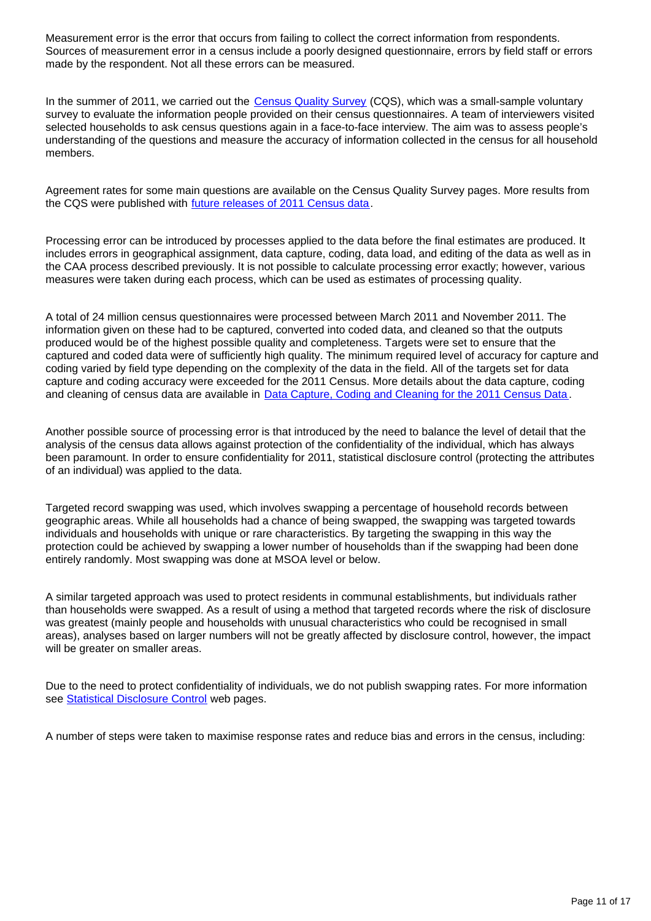Measurement error is the error that occurs from failing to collect the correct information from respondents. Sources of measurement error in a census include a poorly designed questionnaire, errors by field staff or errors made by the respondent. Not all these errors can be measured.

In the summer of 2011, we carried out the [Census Quality Survey](http://webarchive.nationalarchives.gov.uk/20160105160709/http:/ons.gov.uk/ons/guide-method/census/2011/census-data/2011-census-user-guide/quality-and-methods/assessing-accuracy-of-responses--census-quality-survey-/index.html) (CQS), which was a small-sample voluntary survey to evaluate the information people provided on their census questionnaires. A team of interviewers visited selected households to ask census questions again in a face-to-face interview. The aim was to assess people's understanding of the questions and measure the accuracy of information collected in the census for all household members.

Agreement rates for some main questions are available on the Census Quality Survey pages. More results from the CQS were published with [future releases of 2011 Census data.](https://www.ons.gov.uk/search?q=2011%20census)

Processing error can be introduced by processes applied to the data before the final estimates are produced. It includes errors in geographical assignment, data capture, coding, data load, and editing of the data as well as in the CAA process described previously. It is not possible to calculate processing error exactly; however, various measures were taken during each process, which can be used as estimates of processing quality.

A total of 24 million census questionnaires were processed between March 2011 and November 2011. The information given on these had to be captured, converted into coded data, and cleaned so that the outputs produced would be of the highest possible quality and completeness. Targets were set to ensure that the captured and coded data were of sufficiently high quality. The minimum required level of accuracy for capture and coding varied by field type depending on the complexity of the data in the field. All of the targets set for data capture and coding accuracy were exceeded for the 2011 Census. More details about the data capture, coding and cleaning of census data are available in [Data Capture, Coding and Cleaning for the 2011 Census Data](http://webarchive.nationalarchives.gov.uk/20160105160709/http:/www.ons.gov.uk/ons/guide-method/census/2011/census-data/2011-census-user-guide/quality-and-methods/quality/quality-measures/data-capture--coding-and-cleaning/index.html).

Another possible source of processing error is that introduced by the need to balance the level of detail that the analysis of the census data allows against protection of the confidentiality of the individual, which has always been paramount. In order to ensure confidentiality for 2011, statistical disclosure control (protecting the attributes of an individual) was applied to the data.

Targeted record swapping was used, which involves swapping a percentage of household records between geographic areas. While all households had a chance of being swapped, the swapping was targeted towards individuals and households with unique or rare characteristics. By targeting the swapping in this way the protection could be achieved by swapping a lower number of households than if the swapping had been done entirely randomly. Most swapping was done at MSOA level or below.

A similar targeted approach was used to protect residents in communal establishments, but individuals rather than households were swapped. As a result of using a method that targeted records where the risk of disclosure was greatest (mainly people and households with unusual characteristics who could be recognised in small areas), analyses based on larger numbers will not be greatly affected by disclosure control, however, the impact will be greater on smaller areas.

Due to the need to protect confidentiality of individuals, we do not publish swapping rates. For more information see **Statistical Disclosure Control** web pages.

A number of steps were taken to maximise response rates and reduce bias and errors in the census, including: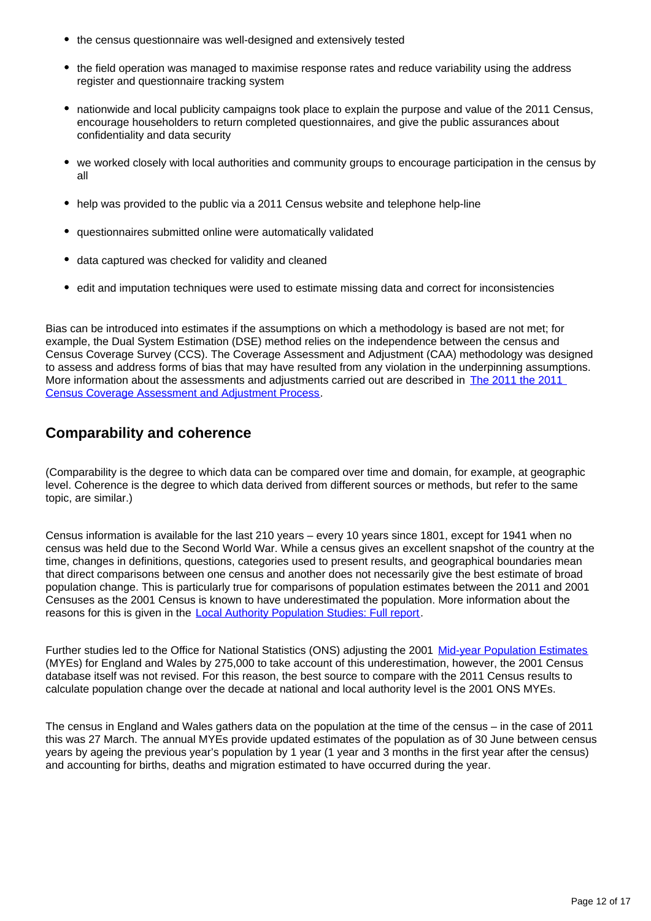- the census questionnaire was well-designed and extensively tested
- the field operation was managed to maximise response rates and reduce variability using the address register and questionnaire tracking system
- nationwide and local publicity campaigns took place to explain the purpose and value of the 2011 Census, encourage householders to return completed questionnaires, and give the public assurances about confidentiality and data security
- we worked closely with local authorities and community groups to encourage participation in the census by all
- help was provided to the public via a 2011 Census website and telephone help-line
- questionnaires submitted online were automatically validated
- data captured was checked for validity and cleaned
- edit and imputation techniques were used to estimate missing data and correct for inconsistencies

Bias can be introduced into estimates if the assumptions on which a methodology is based are not met; for example, the Dual System Estimation (DSE) method relies on the independence between the census and Census Coverage Survey (CCS). The Coverage Assessment and Adjustment (CAA) methodology was designed to assess and address forms of bias that may have resulted from any violation in the underpinning assumptions. More information about the assessments and adjustments carried out are described in The 2011 the 2011 [Census Coverage Assessment and Adjustment Process.](http://webarchive.nationalarchives.gov.uk/20160105160709/http://ons.gov.uk/ons/guide-method/census/2011/how-our-census-works/how-we-planned-the-2011-census/independent-assessments/independent-review-of-coverage-assessment--adjustment-and-quality-assurance/index.html)

#### **Comparability and coherence**

(Comparability is the degree to which data can be compared over time and domain, for example, at geographic level. Coherence is the degree to which data derived from different sources or methods, but refer to the same topic, are similar.)

Census information is available for the last 210 years – every 10 years since 1801, except for 1941 when no census was held due to the Second World War. While a census gives an excellent snapshot of the country at the time, changes in definitions, questions, categories used to present results, and geographical boundaries mean that direct comparisons between one census and another does not necessarily give the best estimate of broad population change. This is particularly true for comparisons of population estimates between the 2011 and 2001 Censuses as the 2001 Census is known to have underestimated the population. More information about the reasons for this is given in the [Local Authority Population Studies: Full report](http://webarchive.nationalarchives.gov.uk/20160105160709/http:/www.ons.gov.uk/ons/guide-method/method-quality/specific/population-and-migration/pop-ests/local-authority-population-studies/index.html).

Further studies led to the Office for National Statistics (ONS) adjusting the 2001 [Mid-year Population Estimates](https://www.ons.gov.uk/peoplepopulationandcommunity/populationandmigration/populationestimates) (MYEs) for England and Wales by 275,000 to take account of this underestimation, however, the 2001 Census database itself was not revised. For this reason, the best source to compare with the 2011 Census results to calculate population change over the decade at national and local authority level is the 2001 ONS MYEs.

The census in England and Wales gathers data on the population at the time of the census – in the case of 2011 this was 27 March. The annual MYEs provide updated estimates of the population as of 30 June between census years by ageing the previous year's population by 1 year (1 year and 3 months in the first year after the census) and accounting for births, deaths and migration estimated to have occurred during the year.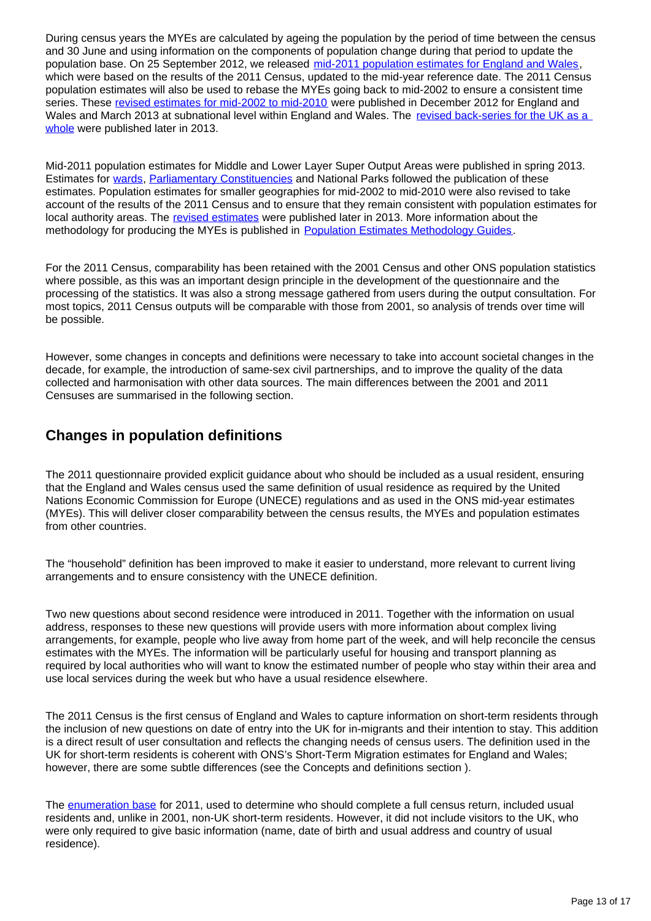During census years the MYEs are calculated by ageing the population by the period of time between the census and 30 June and using information on the components of population change during that period to update the population base. On 25 September 2012, we released [mid-2011 population estimates for England and Wales,](http://webarchive.nationalarchives.gov.uk/20160105160709/http:/www.ons.gov.uk/ons/rel/pop-estimate/population-estimates-for-england-and-wales/mid-2011--2011-census-based-/stb---mid-2011-census-based-population-estimates-for-england-and-wales.html) which were based on the results of the 2011 Census, updated to the mid-year reference date. The 2011 Census population estimates will also be used to rebase the MYEs going back to mid-2002 to ensure a consistent time series. These [revised estimates for mid-2002 to mid-2010](http://webarchive.nationalarchives.gov.uk/20160105160709/http:/www.ons.gov.uk/ons/rel/pop-estimate/population-estimates-for-england-and-wales/mid-2002-to-mid-2010-revised--national-/stb---mid-2002-to-mid-2010-revised-population-estimates-for-england-and-w) were published in December 2012 for England and Wales and March 2013 at subnational level within England and Wales. The revised back-series for the UK as a [whole](https://www.ons.gov.uk/peoplepopulationandcommunity/populationandmigration/populationestimates/bulletins/annualmidyearpopulationestimates/2013-12-17) were published later in 2013.

Mid-2011 population estimates for Middle and Lower Layer Super Output Areas were published in spring 2013. Estimates for [wards,](http://webarchive.nationalarchives.gov.uk/20160105160709/http:/www.ons.gov.uk/ons/rel/sape/ward-mid-year-pop-est-eng-wales-exp/mid-2011--census-based-/stb---ward-level-pop-estimates-mid-2011.html) [Parliamentary Constituencies](http://webarchive.nationalarchives.gov.uk/20160105160709/http:/www.ons.gov.uk/ons/rel/sape/parliament-constituency-pop-est/mid-2011--census-based-/stb---parliamentary-constituencies-pop-estimates--2011.html) and National Parks followed the publication of these estimates. Population estimates for smaller geographies for mid-2002 to mid-2010 were also revised to take account of the results of the 2011 Census and to ensure that they remain consistent with population estimates for local authority areas. The [revised estimates](http://webarchive.nationalarchives.gov.uk/20160105160709/http:/www.ons.gov.uk/ons/rel/sape/ward-mid-year-pop-est-eng-wales-exp/mid-2002-to-mid-2010-revised/stb---other-small-area-population-estimates--mid-2002-to-mid-2010.html) were published later in 2013. More information about the methodology for producing the MYEs is published in [Population Estimates Methodology Guides.](http://webarchive.nationalarchives.gov.uk/20160105160709/http:/www.ons.gov.uk/ons/guide-method/method-quality/specific/population-and-migration/pop-ests/index.html)

For the 2011 Census, comparability has been retained with the 2001 Census and other ONS population statistics where possible, as this was an important design principle in the development of the questionnaire and the processing of the statistics. It was also a strong message gathered from users during the output consultation. For most topics, 2011 Census outputs will be comparable with those from 2001, so analysis of trends over time will be possible.

However, some changes in concepts and definitions were necessary to take into account societal changes in the decade, for example, the introduction of same-sex civil partnerships, and to improve the quality of the data collected and harmonisation with other data sources. The main differences between the 2001 and 2011 Censuses are summarised in the following section.

### **Changes in population definitions**

The 2011 questionnaire provided explicit guidance about who should be included as a usual resident, ensuring that the England and Wales census used the same definition of usual residence as required by the United Nations Economic Commission for Europe (UNECE) regulations and as used in the ONS mid-year estimates (MYEs). This will deliver closer comparability between the census results, the MYEs and population estimates from other countries.

The "household" definition has been improved to make it easier to understand, more relevant to current living arrangements and to ensure consistency with the UNECE definition.

Two new questions about second residence were introduced in 2011. Together with the information on usual address, responses to these new questions will provide users with more information about complex living arrangements, for example, people who live away from home part of the week, and will help reconcile the census estimates with the MYEs. The information will be particularly useful for housing and transport planning as required by local authorities who will want to know the estimated number of people who stay within their area and use local services during the week but who have a usual residence elsewhere.

The 2011 Census is the first census of England and Wales to capture information on short-term residents through the inclusion of new questions on date of entry into the UK for in-migrants and their intention to stay. This addition is a direct result of user consultation and reflects the changing needs of census users. The definition used in the UK for short-term residents is coherent with ONS's Short-Term Migration estimates for England and Wales; however, there are some subtle differences (see the Concepts and definitions section ).

The [enumeration base](http://webarchive.nationalarchives.gov.uk/20160105160709/http:/www.ons.gov.uk/ons/guide-method/census/2011/the-2011-census/2011-census-questionnaire-content/final-population-definitions-for-the-2011-census.pdf) for 2011, used to determine who should complete a full census return, included usual residents and, unlike in 2001, non-UK short-term residents. However, it did not include visitors to the UK, who were only required to give basic information (name, date of birth and usual address and country of usual residence).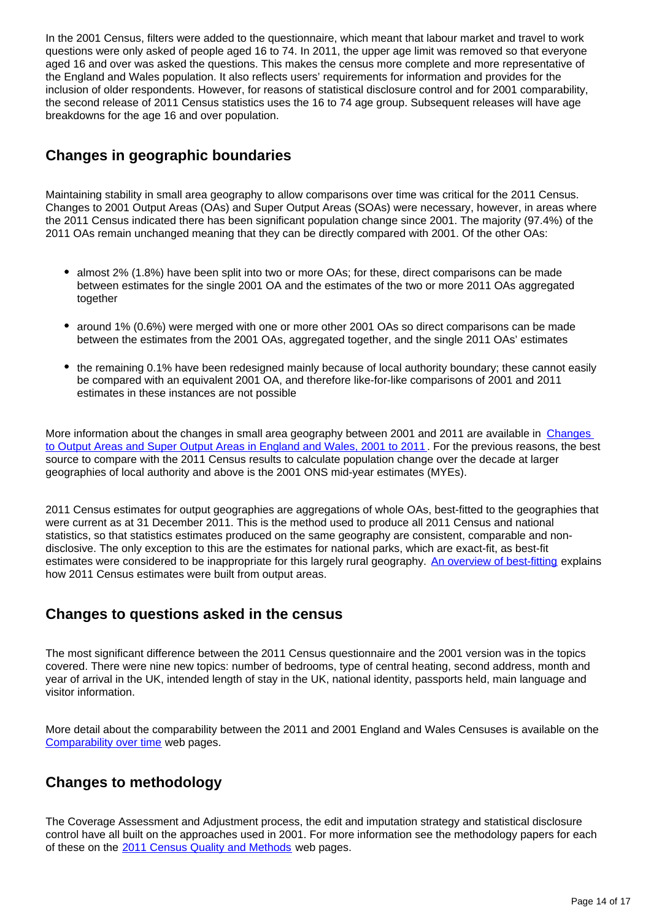In the 2001 Census, filters were added to the questionnaire, which meant that labour market and travel to work questions were only asked of people aged 16 to 74. In 2011, the upper age limit was removed so that everyone aged 16 and over was asked the questions. This makes the census more complete and more representative of the England and Wales population. It also reflects users' requirements for information and provides for the inclusion of older respondents. However, for reasons of statistical disclosure control and for 2001 comparability, the second release of 2011 Census statistics uses the 16 to 74 age group. Subsequent releases will have age breakdowns for the age 16 and over population.

### **Changes in geographic boundaries**

Maintaining stability in small area geography to allow comparisons over time was critical for the 2011 Census. Changes to 2001 Output Areas (OAs) and Super Output Areas (SOAs) were necessary, however, in areas where the 2011 Census indicated there has been significant population change since 2001. The majority (97.4%) of the 2011 OAs remain unchanged meaning that they can be directly compared with 2001. Of the other OAs:

- almost 2% (1.8%) have been split into two or more OAs; for these, direct comparisons can be made between estimates for the single 2001 OA and the estimates of the two or more 2011 OAs aggregated together
- around 1% (0.6%) were merged with one or more other 2001 OAs so direct comparisons can be made between the estimates from the 2001 OAs, aggregated together, and the single 2011 OAs' estimates
- the remaining 0.1% have been redesigned mainly because of local authority boundary; these cannot easily be compared with an equivalent 2001 OA, and therefore like-for-like comparisons of 2001 and 2011 estimates in these instances are not possible

More information about the changes in small area geography between 2001 and 2011 are available in Changes [to Output Areas and Super Output Areas in England and Wales, 2001 to 2011](http://webarchive.nationalarchives.gov.uk/20160105160709/http:/www.ons.gov.uk/ons/guide-method/geography/products/census/report--changes-to-output-areas-and-super-output-areas-in-england-and-wales--2001-to-2011.pdf). For the previous reasons, the best source to compare with the 2011 Census results to calculate population change over the decade at larger geographies of local authority and above is the 2001 ONS mid-year estimates (MYEs).

2011 Census estimates for output geographies are aggregations of whole OAs, best-fitted to the geographies that were current as at 31 December 2011. This is the method used to produce all 2011 Census and national statistics, so that statistics estimates produced on the same geography are consistent, comparable and nondisclosive. The only exception to this are the estimates for national parks, which are exact-fit, as best-fit estimates were considered to be inappropriate for this largely rural geography. [An overview of best-fitting](http://webarchive.nationalarchives.gov.uk/20160105160709/http:/www.ons.gov.uk/ons/guide-method/census/2011/census-data/2011-census-prospectus/new-developments-for-2011-census-results/2011-census-geography/exact-fit-and-best-fit-estimates/BFOverview.pdf) explains how 2011 Census estimates were built from output areas.

### **Changes to questions asked in the census**

The most significant difference between the 2011 Census questionnaire and the 2001 version was in the topics covered. There were nine new topics: number of bedrooms, type of central heating, second address, month and year of arrival in the UK, intended length of stay in the UK, national identity, passports held, main language and visitor information.

More detail about the comparability between the 2011 and 2001 England and Wales Censuses is available on the [Comparability over time](http://webarchive.nationalarchives.gov.uk/20160105160709/http:/www.ons.gov.uk/ons/guide-method/census/2011/census-data/2011-census-user-guide/comparability-over-time/index.html) web pages.

# **Changes to methodology**

The Coverage Assessment and Adjustment process, the edit and imputation strategy and statistical disclosure control have all built on the approaches used in 2001. For more information see the methodology papers for each of these on the [2011 Census Quality and Methods](http://webarchive.nationalarchives.gov.uk/20160105160709/http:/www.ons.gov.uk/ons/guide-method/census/2011/census-data/2011-census-user-guide/quality-and-methods/index.html) web pages.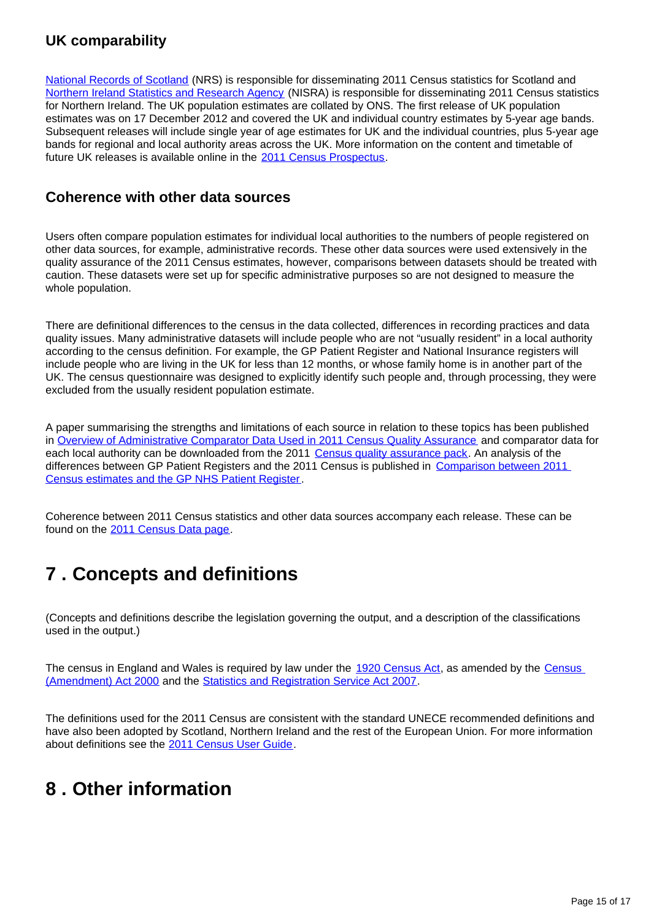### **UK comparability**

[National Records of Scotland](http://www.scotlandscensus.gov.uk/) (NRS) is responsible for disseminating 2011 Census statistics for Scotland and [Northern Ireland Statistics and Research Agency](http://www.nisra.gov.uk/Census/2011Census.html) (NISRA) is responsible for disseminating 2011 Census statistics for Northern Ireland. The UK population estimates are collated by ONS. The first release of UK population estimates was on 17 December 2012 and covered the UK and individual country estimates by 5-year age bands. Subsequent releases will include single year of age estimates for UK and the individual countries, plus 5-year age bands for regional and local authority areas across the UK. More information on the content and timetable of future UK releases is available online in the [2011 Census Prospectus](http://webarchive.nationalarchives.gov.uk/20160105160709/http:/ons.gov.uk/ons/guide-method/census/2011/census-data/2011-census-data-catalogue/index.html).

#### **Coherence with other data sources**

Users often compare population estimates for individual local authorities to the numbers of people registered on other data sources, for example, administrative records. These other data sources were used extensively in the quality assurance of the 2011 Census estimates, however, comparisons between datasets should be treated with caution. These datasets were set up for specific administrative purposes so are not designed to measure the whole population.

There are definitional differences to the census in the data collected, differences in recording practices and data quality issues. Many administrative datasets will include people who are not "usually resident" in a local authority according to the census definition. For example, the GP Patient Register and National Insurance registers will include people who are living in the UK for less than 12 months, or whose family home is in another part of the UK. The census questionnaire was designed to explicitly identify such people and, through processing, they were excluded from the usually resident population estimate.

A paper summarising the strengths and limitations of each source in relation to these topics has been published in [Overview of Administrative Comparator Data Used in 2011 Census Quality Assurance](http://webarchive.nationalarchives.gov.uk/20160105160709/http:/ons.gov.uk/ons/guide-method/census/2011/how-our-census-works/how-we-took-the-2011-census/how-we-processed-the-information/data-quality-assurance/index.html) and comparator data for each local authority can be downloaded from the 2011 [Census quality assurance pack](http://webarchive.nationalarchives.gov.uk/20160105160709/http:/ons.gov.uk/ons/guide-method/census/2011/census-data/2011-census-user-guide/quality-and-methods/local-authority-quality-assurance/index.html). An analysis of the differences between GP Patient Registers and the 2011 Census is published in [Comparison between 2011](http://webarchive.nationalarchives.gov.uk/20160105160709/http:/ons.gov.uk/ons/guide-method/census/2011/census-data/2011-census-user-guide/quality-and-methods/index.html)  [Census estimates and the GP NHS Patient Register.](http://webarchive.nationalarchives.gov.uk/20160105160709/http:/ons.gov.uk/ons/guide-method/census/2011/census-data/2011-census-user-guide/quality-and-methods/index.html)

Coherence between 2011 Census statistics and other data sources accompany each release. These can be found on the [2011 Census Data page](http://webarchive.nationalarchives.gov.uk/20160105160709/http:/www.ons.gov.uk/ons/guide-method/census/2011/census-data/index.html).

# <span id="page-14-0"></span>**7 . Concepts and definitions**

(Concepts and definitions describe the legislation governing the output, and a description of the classifications used in the output.)

The census in England and Wales is required by law under the [1920 Census Act,](https://www.ons.gov.uk/census/2001censusandearlier/designandconduct/censuslegislation/thecensusact1920) as amended by the Census [\(Amendment\) Act 2000](https://www.ons.gov.uk/census/2001censusandearlier/designandconduct/censuslegislation/thecensusamendmentact2000) and the [Statistics and Registration Service Act 2007.](https://www.statisticsauthority.gov.uk/about-the-authority/uk-statistical-system/legislation/key-legislative-documents/)

The definitions used for the 2011 Census are consistent with the standard UNECE recommended definitions and have also been adopted by Scotland, Northern Ireland and the rest of the European Union. For more information about definitions see the [2011 Census User Guide](http://webarchive.nationalarchives.gov.uk/20160105160709/http:/www.ons.gov.uk/ons/guide-method/census/2011/census-data/2011-census-user-guide/index.html).

# <span id="page-14-1"></span>**8 . Other information**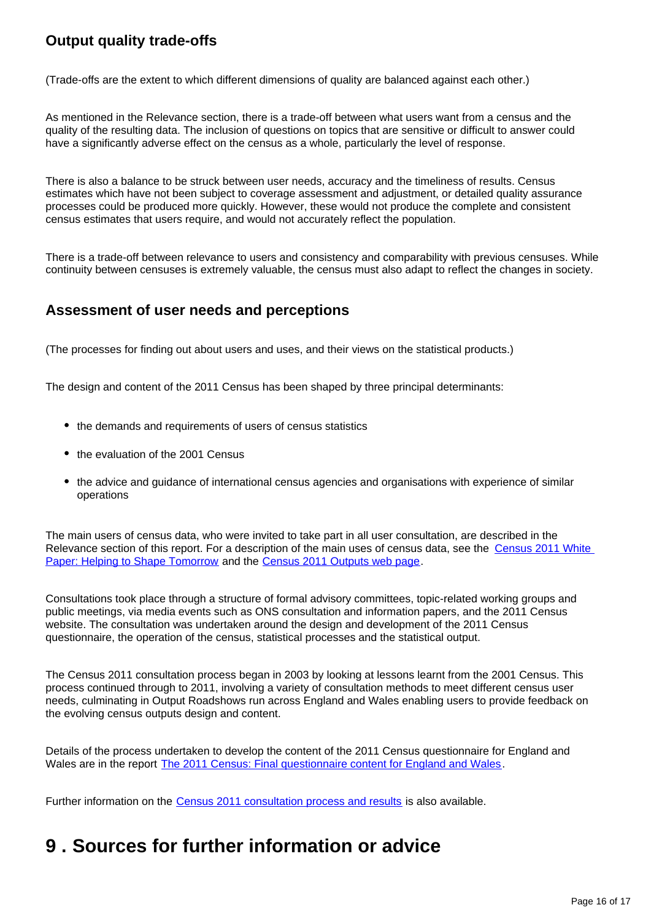## **Output quality trade-offs**

(Trade-offs are the extent to which different dimensions of quality are balanced against each other.)

As mentioned in the Relevance section, there is a trade-off between what users want from a census and the quality of the resulting data. The inclusion of questions on topics that are sensitive or difficult to answer could have a significantly adverse effect on the census as a whole, particularly the level of response.

There is also a balance to be struck between user needs, accuracy and the timeliness of results. Census estimates which have not been subject to coverage assessment and adjustment, or detailed quality assurance processes could be produced more quickly. However, these would not produce the complete and consistent census estimates that users require, and would not accurately reflect the population.

There is a trade-off between relevance to users and consistency and comparability with previous censuses. While continuity between censuses is extremely valuable, the census must also adapt to reflect the changes in society.

#### **Assessment of user needs and perceptions**

(The processes for finding out about users and uses, and their views on the statistical products.)

The design and content of the 2011 Census has been shaped by three principal determinants:

- the demands and requirements of users of census statistics
- the evaluation of the 2001 Census
- the advice and guidance of international census agencies and organisations with experience of similar operations

The main users of census data, who were invited to take part in all user consultation, are described in the Relevance section of this report. For a description of the main uses of census data, see the [Census 2011 White](http://webarchive.nationalarchives.gov.uk/20160105160709/http://ons.gov.uk/ons/guide-method/census/2011/how-our-census-works/how-we-planned-the-2011-census/census-legislation/index.html)  [Paper: Helping to Shape Tomorrow](http://webarchive.nationalarchives.gov.uk/20160105160709/http://ons.gov.uk/ons/guide-method/census/2011/how-our-census-works/how-we-planned-the-2011-census/census-legislation/index.html) and the [Census 2011 Outputs web page.](https://www.ons.gov.uk/census/2011census/whywehaveacensus)

Consultations took place through a structure of formal advisory committees, topic-related working groups and public meetings, via media events such as ONS consultation and information papers, and the 2011 Census website. The consultation was undertaken around the design and development of the 2011 Census questionnaire, the operation of the census, statistical processes and the statistical output.

The Census 2011 consultation process began in 2003 by looking at lessons learnt from the 2001 Census. This process continued through to 2011, involving a variety of consultation methods to meet different census user needs, culminating in Output Roadshows run across England and Wales enabling users to provide feedback on the evolving census outputs design and content.

Details of the process undertaken to develop the content of the 2011 Census questionnaire for England and Wales are in the report [The 2011 Census: Final questionnaire content for England and Wales](http://webarchive.nationalarchives.gov.uk/20160105160709/http:/ons.gov.uk/ons/guide-method/census/2011/how-our-census-works/how-we-took-the-2011-census/how-we-collected-the-information/questionnaires--delivery--completion-and-return/index.html).

Further information on the [Census 2011 consultation process and results](http://webarchive.nationalarchives.gov.uk/20160105160709/http:/ons.gov.uk/ons/about-ons/who-ons-are/programmes-and-projects/beyond-2011/beyond-2011-consultation/index.html) is also available.

# <span id="page-15-0"></span>**9 . Sources for further information or advice**